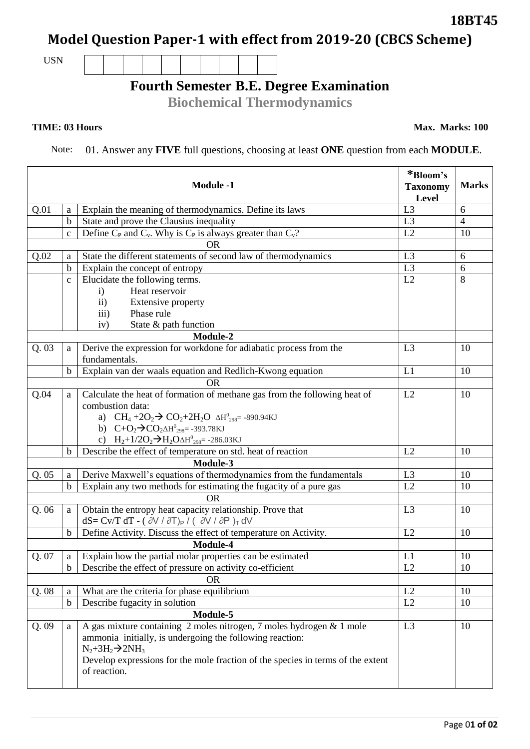Page 0**1 of 02**

## **18BT45**

**Model Question Paper-1 with effect from 2019-20 (CBCS Scheme)**

USN

## **Fourth Semester B.E. Degree Examination**

**Biochemical Thermodynamics** 

**TIME: 03 Hours Max. Marks: 100** 

Note: 01. Answer any **FIVE** full questions, choosing at least **ONE** question from each **MODULE**.

|           |              | <b>Module -1</b>                                                                                                                                                                                                                                                      | *Bloom's<br><b>Taxonomy</b><br>Level | <b>Marks</b>   |  |  |
|-----------|--------------|-----------------------------------------------------------------------------------------------------------------------------------------------------------------------------------------------------------------------------------------------------------------------|--------------------------------------|----------------|--|--|
| Q.01      | a            | Explain the meaning of thermodynamics. Define its laws                                                                                                                                                                                                                | L <sub>3</sub>                       | 6              |  |  |
|           | $\mathbf b$  | State and prove the Clausius inequality                                                                                                                                                                                                                               | L3                                   | $\overline{4}$ |  |  |
|           | $\mathbf{C}$ | Define $C_P$ and $C_v$ . Why is $C_P$ is always greater than $C_v$ ?                                                                                                                                                                                                  | L2                                   | 10             |  |  |
|           |              | <b>OR</b>                                                                                                                                                                                                                                                             |                                      |                |  |  |
| Q.02      | a            | State the different statements of second law of thermodynamics                                                                                                                                                                                                        | L <sub>3</sub>                       | 6              |  |  |
|           | $\mathbf b$  | Explain the concept of entropy                                                                                                                                                                                                                                        | L <sub>3</sub>                       | 6              |  |  |
|           | $\mathbf{C}$ | Elucidate the following terms.                                                                                                                                                                                                                                        | L2                                   | 8              |  |  |
|           |              | Heat reservoir<br>$\mathbf{i}$                                                                                                                                                                                                                                        |                                      |                |  |  |
|           |              | <b>Extensive property</b><br>$\rm ii)$                                                                                                                                                                                                                                |                                      |                |  |  |
|           |              | Phase rule<br>$\overline{\text{iii}}$                                                                                                                                                                                                                                 |                                      |                |  |  |
|           |              | State & path function<br>iv)                                                                                                                                                                                                                                          |                                      |                |  |  |
|           |              | Module-2                                                                                                                                                                                                                                                              |                                      |                |  |  |
| Q.03      | a            | Derive the expression for workdone for adiabatic process from the<br>fundamentals.                                                                                                                                                                                    | L3                                   | 10             |  |  |
|           | $\mathbf b$  | Explain van der waals equation and Redlich-Kwong equation                                                                                                                                                                                                             | L1                                   | 10             |  |  |
|           |              | <b>OR</b>                                                                                                                                                                                                                                                             |                                      |                |  |  |
| Q.04      | a            | Calculate the heat of formation of methane gas from the following heat of                                                                                                                                                                                             | L2                                   | 10             |  |  |
|           |              | combustion data:                                                                                                                                                                                                                                                      |                                      |                |  |  |
|           |              | a) $CH_4 + 2O_2 \rightarrow CO_2 + 2H_2O \Delta H_{298}^0 = -890.94 \text{ KJ}$                                                                                                                                                                                       |                                      |                |  |  |
|           |              | b) $C+O_2 \rightarrow CO_2 \Delta H_{298}^0 = -393.78 \text{KJ}$                                                                                                                                                                                                      |                                      |                |  |  |
|           |              | c) $H_2+1/2O_2 \rightarrow H_2O \Delta H^0_{298} = -286.03 \text{KJ}$                                                                                                                                                                                                 |                                      |                |  |  |
|           | b            | Describe the effect of temperature on std. heat of reaction                                                                                                                                                                                                           | L2                                   | 10             |  |  |
|           |              | Module-3                                                                                                                                                                                                                                                              |                                      |                |  |  |
| Q.05      | a            | Derive Maxwell's equations of thermodynamics from the fundamentals                                                                                                                                                                                                    | L <sub>3</sub>                       | 10             |  |  |
|           | $\mathbf b$  | Explain any two methods for estimating the fugacity of a pure gas                                                                                                                                                                                                     | L2                                   | 10             |  |  |
| <b>OR</b> |              |                                                                                                                                                                                                                                                                       |                                      |                |  |  |
| Q.06      | a            | Obtain the entropy heat capacity relationship. Prove that                                                                                                                                                                                                             | L <sub>3</sub>                       | 10             |  |  |
|           |              | $dS = Cv/T dT - ( \partial V / \partial T)_{P} / ( \partial V / \partial P)_{T} dV$                                                                                                                                                                                   |                                      |                |  |  |
|           | $\mathbf b$  | Define Activity. Discuss the effect of temperature on Activity.                                                                                                                                                                                                       | L2                                   | 10             |  |  |
|           |              | Module-4                                                                                                                                                                                                                                                              |                                      |                |  |  |
| Q. 07     | a            | Explain how the partial molar properties can be estimated                                                                                                                                                                                                             | L1                                   | 10             |  |  |
|           |              | $\boxed{b}$ Describe the effect of pressure on activity co-efficient                                                                                                                                                                                                  | L2                                   | 10             |  |  |
|           |              | <b>OR</b>                                                                                                                                                                                                                                                             |                                      |                |  |  |
| Q.08      | a            | What are the criteria for phase equilibrium                                                                                                                                                                                                                           | L2                                   | 10             |  |  |
|           | $\mathbf b$  | Describe fugacity in solution                                                                                                                                                                                                                                         | L2                                   | 10             |  |  |
|           |              | Module-5                                                                                                                                                                                                                                                              |                                      |                |  |  |
| Q.09      | a            | A gas mixture containing 2 moles nitrogen, 7 moles hydrogen & 1 mole<br>ammonia initially, is undergoing the following reaction:<br>$N_2 + 3H_2 \rightarrow 2NH_3$<br>Develop expressions for the mole fraction of the species in terms of the extent<br>of reaction. | L <sub>3</sub>                       | 10             |  |  |
|           |              |                                                                                                                                                                                                                                                                       |                                      |                |  |  |